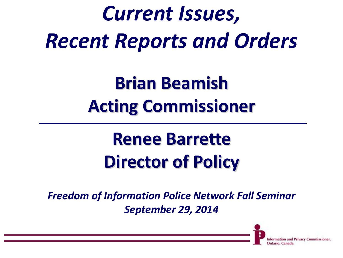### *Current Issues, Recent Reports and Orders*

**Brian Beamish Acting Commissioner**

### **Renee Barrette Director of Policy**

*Freedom of Information Police Network Fall Seminar September 29, 2014* 

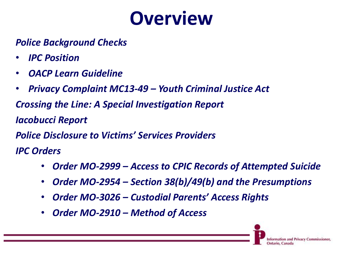### **Overview**

#### *Police Background Checks*

- *IPC Position*
- *OACP Learn Guideline*
- *Privacy Complaint MC13-49 – Youth Criminal Justice Act*

*Crossing the Line: A Special Investigation Report*

*Iacobucci Report*

*Police Disclosure to Victims' Services Providers*

*IPC Orders* 

- *Order MO-2999 – Access to CPIC Records of Attempted Suicide*
- *Order MO-2954 – Section 38(b)/49(b) and the Presumptions*
- *Order MO-3026 – Custodial Parents' Access Rights*
- *Order MO-2910 – Method of Access*

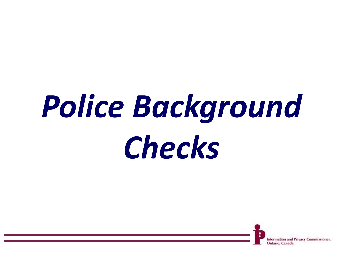## *Police Background Checks*

and Privacy Commissioner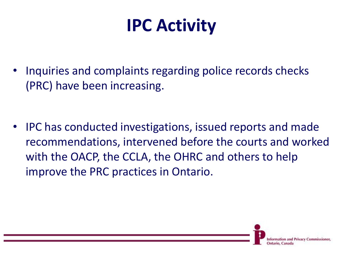### **IPC Activity**

• Inquiries and complaints regarding police records checks (PRC) have been increasing.

• IPC has conducted investigations, issued reports and made recommendations, intervened before the courts and worked with the OACP, the CCLA, the OHRC and others to help improve the PRC practices in Ontario.

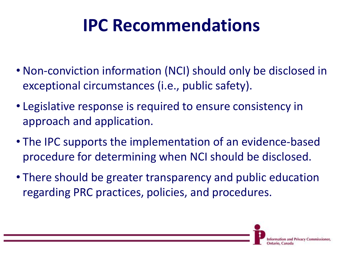### **IPC Recommendations**

- Non-conviction information (NCI) should only be disclosed in exceptional circumstances (i.e., public safety).
- Legislative response is required to ensure consistency in approach and application.
- The IPC supports the implementation of an evidence-based procedure for determining when NCI should be disclosed.
- There should be greater transparency and public education regarding PRC practices, policies, and procedures.

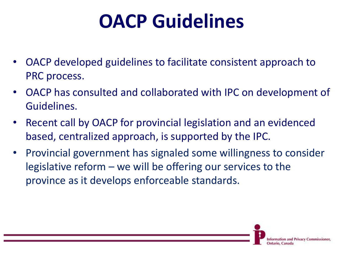### **OACP Guidelines**

- OACP developed guidelines to facilitate consistent approach to PRC process.
- OACP has consulted and collaborated with IPC on development of Guidelines.
- Recent call by OACP for provincial legislation and an evidenced based, centralized approach, is supported by the IPC.
- Provincial government has signaled some willingness to consider legislative reform – we will be offering our services to the province as it develops enforceable standards.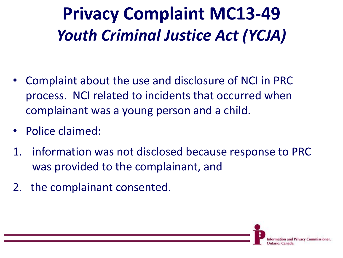### **Privacy Complaint MC13-49** *Youth Criminal Justice Act (YCJA)*

- Complaint about the use and disclosure of NCI in PRC process. NCI related to incidents that occurred when complainant was a young person and a child.
- Police claimed:
- 1. information was not disclosed because response to PRC was provided to the complainant, and
- 2. the complainant consented.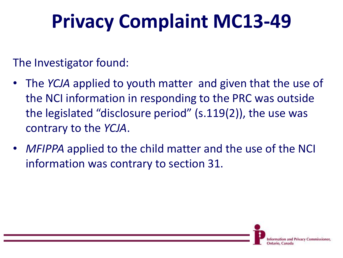### **Privacy Complaint MC13-49**

The Investigator found:

- The *YCJA* applied to youth matter and given that the use of the NCI information in responding to the PRC was outside the legislated "disclosure period" (s.119(2)), the use was contrary to the *YCJA*.
- *MFIPPA* applied to the child matter and the use of the NCI information was contrary to section 31.

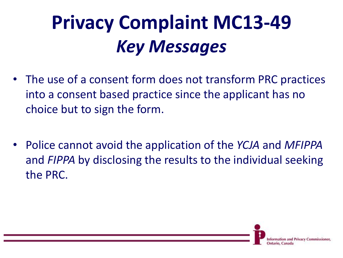### **Privacy Complaint MC13-49** *Key Messages*

- The use of a consent form does not transform PRC practices into a consent based practice since the applicant has no choice but to sign the form.
- Police cannot avoid the application of the *YCJA* and *MFIPPA* and *FIPPA* by disclosing the results to the individual seeking the PRC.

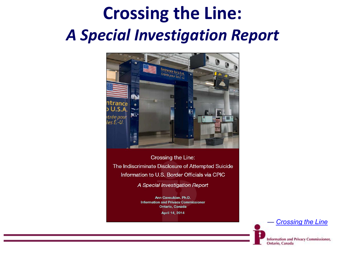### **Crossing the Line:**  *A Special Investigation Report*



Crossing the Line: The Indiscriminate Disclosure of Attempted Suicide Information to U.S. Border Officials via CPIC

A Special Investigation Report

Ann Cavoukian, Ph.D. **Information and Privacy Commissioner** Ontario, Canada April 14, 2014

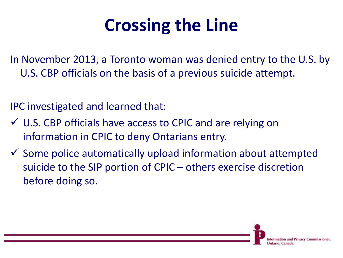### **Crossing the Line**

In November 2013, a Toronto woman was denied entry to the U.S. by U.S. CBP officials on the basis of a previous suicide attempt.

IPC investigated and learned that:

- U.S. CBP officials have access to CPIC and are relying on information in CPIC to deny Ontarians entry.
- $\checkmark$  Some police automatically upload information about attempted suicide to the SIP portion of CPIC – others exercise discretion before doing so.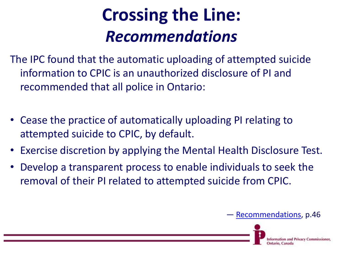### **Crossing the Line:** *Recommendations*

The IPC found that the automatic uploading of attempted suicide information to CPIC is an unauthorized disclosure of PI and recommended that all police in Ontario:

- Cease the practice of automatically uploading PI relating to attempted suicide to CPIC, by default.
- Exercise discretion by applying the Mental Health Disclosure Test.
- Develop a transparent process to enable individuals to seek the removal of their PI related to attempted suicide from CPIC.

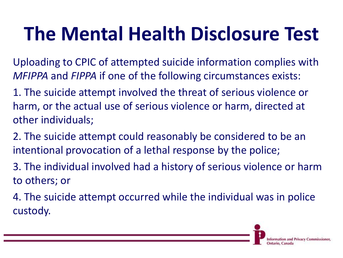### **The Mental Health Disclosure Test**

Uploading to CPIC of attempted suicide information complies with *MFIPPA* and *FIPPA* if one of the following circumstances exists:

1. The suicide attempt involved the threat of serious violence or harm, or the actual use of serious violence or harm, directed at other individuals;

2. The suicide attempt could reasonably be considered to be an intentional provocation of a lethal response by the police;

3. The individual involved had a history of serious violence or harm to others; or

4. The suicide attempt occurred while the individual was in police custody.

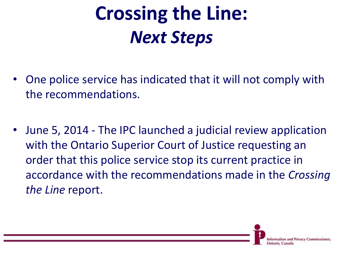### **Crossing the Line:** *Next Steps*

- One police service has indicated that it will not comply with the recommendations.
- June 5, 2014 The IPC launched a judicial review application with the Ontario Superior Court of Justice requesting an order that this police service stop its current practice in accordance with the recommendations made in the *Crossing the Line* report.

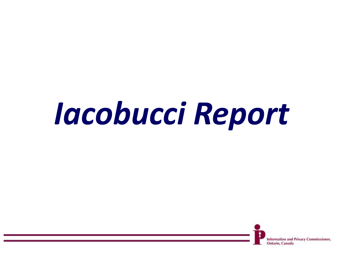### *Iacobucci Report*

**Information and Privacy Commissioner,**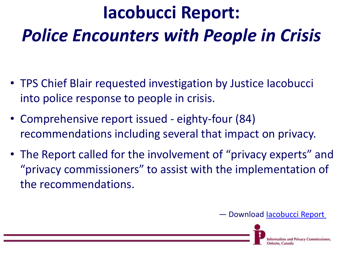### **Iacobucci Report:**  *Police Encounters with People in Crisis*

- TPS Chief Blair requested investigation by Justice Iacobucci into police response to people in crisis.
- Comprehensive report issued eighty-four (84) recommendations including several that impact on privacy.
- The Report called for the involvement of "privacy experts" and "privacy commissioners" to assist with the implementation of the recommendations.



**Privacy Commissioner**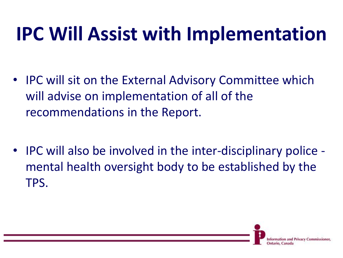### **IPC Will Assist with Implementation**

- IPC will sit on the External Advisory Committee which will advise on implementation of all of the recommendations in the Report.
- IPC will also be involved in the inter-disciplinary police mental health oversight body to be established by the TPS.

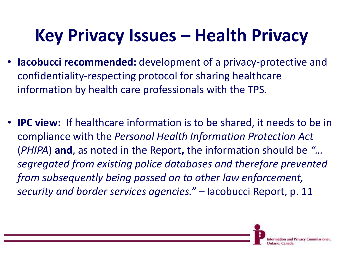### **Key Privacy Issues – Health Privacy**

- **Iacobucci recommended:** development of a privacy-protective and confidentiality-respecting protocol for sharing healthcare information by health care professionals with the TPS.
- **IPC view:** If healthcare information is to be shared, it needs to be in compliance with the *Personal Health Information Protection Act*  (*PHIPA*) **and**, as noted in the Report**,** the information should be *"… segregated from existing police databases and therefore prevented from subsequently being passed on to other law enforcement, security and border services agencies." –* Iacobucci Report, p. 11

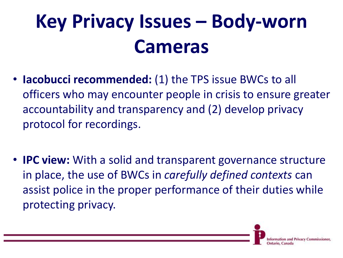### **Key Privacy Issues – Body-worn Cameras**

- **Iacobucci recommended:** (1) the TPS issue BWCs to all officers who may encounter people in crisis to ensure greater accountability and transparency and (2) develop privacy protocol for recordings.
- **IPC view:** With a solid and transparent governance structure in place, the use of BWCs in *carefully defined contexts* can assist police in the proper performance of their duties while protecting privacy.

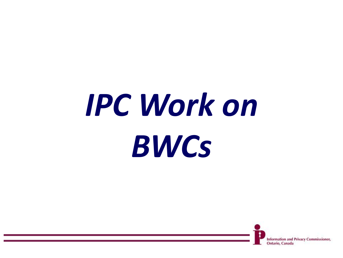# *IPC Work on BWCs*

**Information and Privacy Commissioner,** Ontario, Canada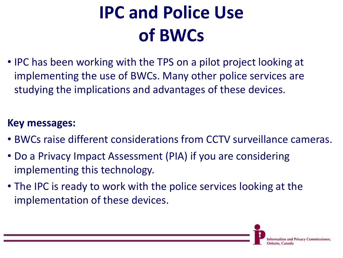### **IPC and Police Use of BWCs**

• IPC has been working with the TPS on a pilot project looking at implementing the use of BWCs. Many other police services are studying the implications and advantages of these devices.

#### **Key messages:**

- BWCs raise different considerations from CCTV surveillance cameras.
- Do a Privacy Impact Assessment (PIA) if you are considering implementing this technology.
- The IPC is ready to work with the police services looking at the implementation of these devices.

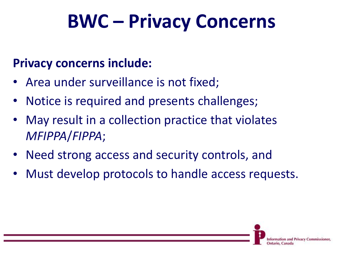### **BWC – Privacy Concerns**

#### **Privacy concerns include:**

- Area under surveillance is not fixed;
- Notice is required and presents challenges;
- May result in a collection practice that violates *MFIPPA*/*FIPPA*;
- Need strong access and security controls, and
- Must develop protocols to handle access requests.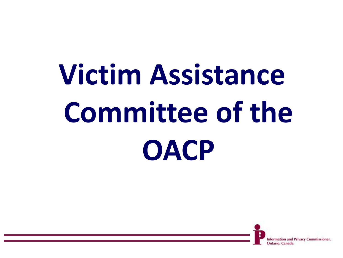## **Victim Assistance Committee of the OACP**

and Privacy Commissioner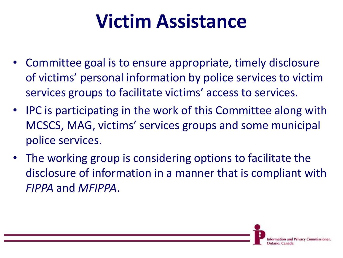### **Victim Assistance**

- Committee goal is to ensure appropriate, timely disclosure of victims' personal information by police services to victim services groups to facilitate victims' access to services.
- IPC is participating in the work of this Committee along with MCSCS, MAG, victims' services groups and some municipal police services.
- The working group is considering options to facilitate the disclosure of information in a manner that is compliant with *FIPPA* and *MFIPPA*.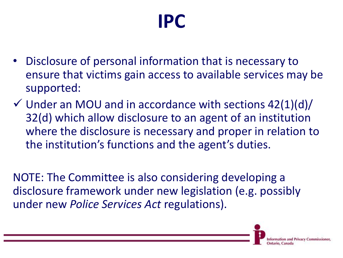### **IPC**

- Disclosure of personal information that is necessary to ensure that victims gain access to available services may be supported:
- $\checkmark$  Under an MOU and in accordance with sections 42(1)(d)/ 32(d) which allow disclosure to an agent of an institution where the disclosure is necessary and proper in relation to the institution's functions and the agent's duties.

NOTE: The Committee is also considering developing a disclosure framework under new legislation (e.g. possibly under new *Police Services Act* regulations).

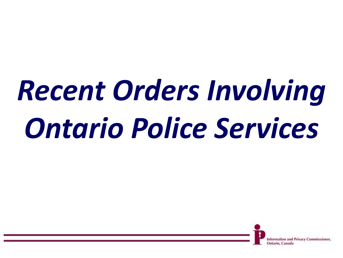## *Recent Orders Involving Ontario Police Services*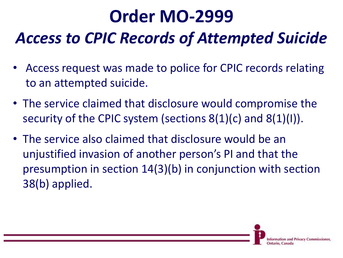### **Order MO-2999** *Access to CPIC Records of Attempted Suicide*

- Access request was made to police for CPIC records relating to an attempted suicide.
- The service claimed that disclosure would compromise the security of the CPIC system (sections 8(1)(c) and 8(1)(I)).
- The service also claimed that disclosure would be an unjustified invasion of another person's PI and that the presumption in section 14(3)(b) in conjunction with section 38(b) applied.

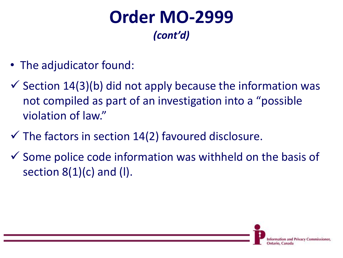#### **Order MO-2999** *(cont'd)*

- The adjudicator found:
- $\checkmark$  Section 14(3)(b) did not apply because the information was not compiled as part of an investigation into a "possible violation of law."
- $\checkmark$  The factors in section 14(2) favoured disclosure.
- $\checkmark$  Some police code information was withheld on the basis of section  $8(1)(c)$  and (I).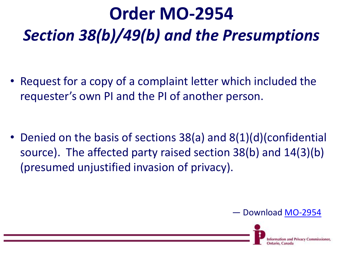### **Order MO-2954** *Section 38(b)/49(b) and the Presumptions*

• Request for a copy of a complaint letter which included the requester's own PI and the PI of another person.

• Denied on the basis of sections 38(a) and 8(1)(d)(confidential source). The affected party raised section 38(b) and 14(3)(b) (presumed unjustified invasion of privacy).

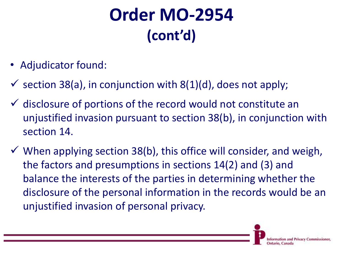### **Order MO-2954 (cont'd)**

- Adjudicator found:
- $\checkmark$  section 38(a), in conjunction with 8(1)(d), does not apply;
- $\checkmark$  disclosure of portions of the record would not constitute an unjustified invasion pursuant to section 38(b), in conjunction with section 14.
- $\checkmark$  When applying section 38(b), this office will consider, and weigh, the factors and presumptions in sections 14(2) and (3) and balance the interests of the parties in determining whether the disclosure of the personal information in the records would be an unjustified invasion of personal privacy.

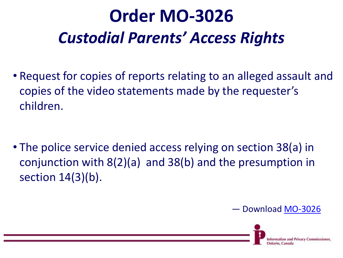### **Order MO-3026** *Custodial Parents' Access Rights*

• Request for copies of reports relating to an alleged assault and copies of the video statements made by the requester's children.

• The police service denied access relying on section 38(a) in conjunction with 8(2)(a) and 38(b) and the presumption in section 14(3)(b).

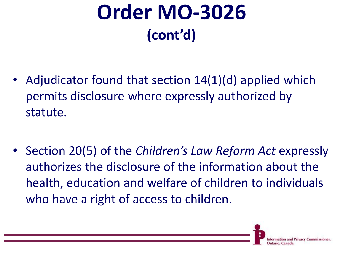### **Order MO-3026 (cont'd)**

- Adjudicator found that section 14(1)(d) applied which permits disclosure where expressly authorized by statute.
- Section 20(5) of the *Children's Law Reform Act* expressly authorizes the disclosure of the information about the health, education and welfare of children to individuals who have a right of access to children.

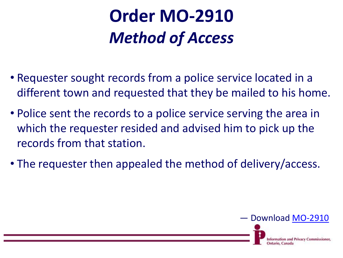### **Order MO-2910** *Method of Access*

- Requester sought records from a police service located in a different town and requested that they be mailed to his home.
- Police sent the records to a police service serving the area in which the requester resided and advised him to pick up the records from that station.
- The requester then appealed the method of delivery/access.

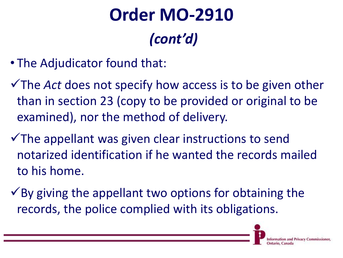### **Order MO-2910** *(cont'd)*

- The Adjudicator found that:
- The *Act* does not specify how access is to be given other than in section 23 (copy to be provided or original to be examined), nor the method of delivery.
- $\checkmark$  The appellant was given clear instructions to send notarized identification if he wanted the records mailed to his home.
- $\checkmark$  By giving the appellant two options for obtaining the records, the police complied with its obligations.